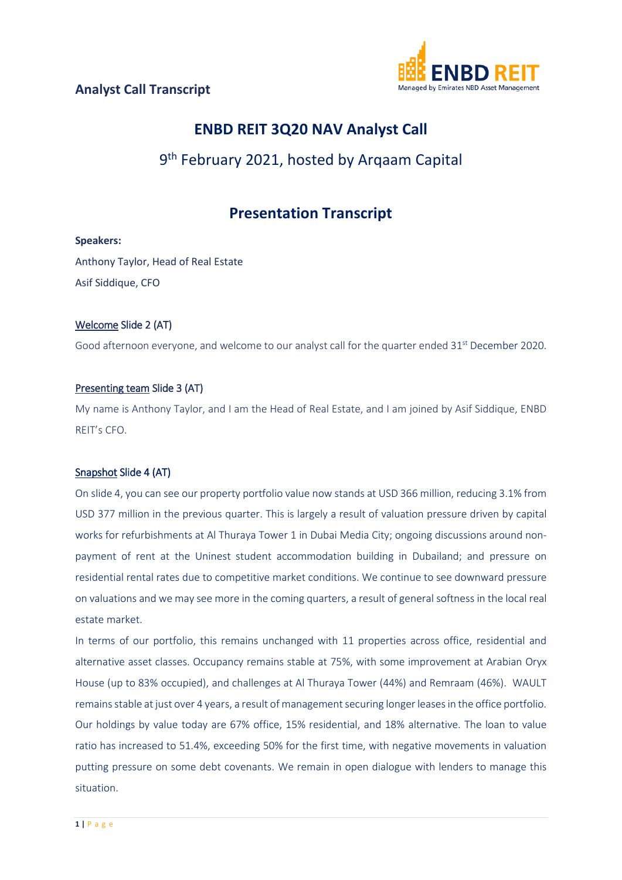

# **ENBD REIT 3Q20 NAV Analyst Call**

# 9<sup>th</sup> February 2021, hosted by Argaam Capital

# **Presentation Transcript**

### **Speakers:**

Anthony Taylor, Head of Real Estate Asif Siddique, CFO

## Welcome Slide 2 (AT)

Good afternoon everyone, and welcome to our analyst call for the quarter ended 31<sup>st</sup> December 2020.

## Presenting team Slide 3 (AT)

My name is Anthony Taylor, and I am the Head of Real Estate, and I am joined by Asif Siddique, ENBD REIT's CFO.

## Snapshot Slide 4 (AT)

On slide 4, you can see our property portfolio value now stands at USD 366 million, reducing 3.1% from USD 377 million in the previous quarter. This is largely a result of valuation pressure driven by capital works for refurbishments at Al Thuraya Tower 1 in Dubai Media City; ongoing discussions around nonpayment of rent at the Uninest student accommodation building in Dubailand; and pressure on residential rental rates due to competitive market conditions. We continue to see downward pressure on valuations and we may see more in the coming quarters, a result of general softness in the local real estate market.

In terms of our portfolio, this remains unchanged with 11 properties across office, residential and alternative asset classes. Occupancy remains stable at 75%, with some improvement at Arabian Oryx House (up to 83% occupied), and challenges at Al Thuraya Tower (44%) and Remraam (46%). WAULT remainsstable at just over 4 years, a result of management securing longer leasesin the office portfolio. Our holdings by value today are 67% office, 15% residential, and 18% alternative. The loan to value ratio has increased to 51.4%, exceeding 50% for the first time, with negative movements in valuation putting pressure on some debt covenants. We remain in open dialogue with lenders to manage this situation.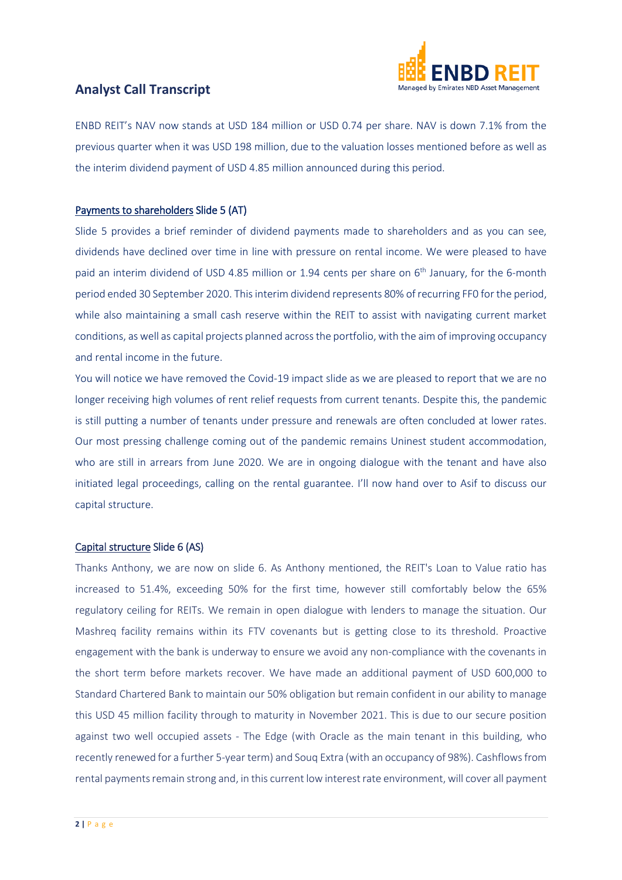

ENBD REIT's NAV now stands at USD 184 million or USD 0.74 per share. NAV is down 7.1% from the previous quarter when it was USD 198 million, due to the valuation losses mentioned before as well as the interim dividend payment of USD 4.85 million announced during this period.

#### Payments to shareholders Slide 5 (AT)

Slide 5 provides a brief reminder of dividend payments made to shareholders and as you can see, dividends have declined over time in line with pressure on rental income. We were pleased to have paid an interim dividend of USD 4.85 million or 1.94 cents per share on 6<sup>th</sup> January, for the 6-month period ended 30 September 2020. This interim dividend represents 80% of recurring FF0 for the period, while also maintaining a small cash reserve within the REIT to assist with navigating current market conditions, as well as capital projects planned across the portfolio, with the aim of improving occupancy and rental income in the future.

You will notice we have removed the Covid-19 impact slide as we are pleased to report that we are no longer receiving high volumes of rent relief requests from current tenants. Despite this, the pandemic is still putting a number of tenants under pressure and renewals are often concluded at lower rates. Our most pressing challenge coming out of the pandemic remains Uninest student accommodation, who are still in arrears from June 2020. We are in ongoing dialogue with the tenant and have also initiated legal proceedings, calling on the rental guarantee. I'll now hand over to Asif to discuss our capital structure.

#### Capital structure Slide 6 (AS)

Thanks Anthony, we are now on slide 6. As Anthony mentioned, the REIT's Loan to Value ratio has increased to 51.4%, exceeding 50% for the first time, however still comfortably below the 65% regulatory ceiling for REITs. We remain in open dialogue with lenders to manage the situation. Our Mashreq facility remains within its FTV covenants but is getting close to its threshold. Proactive engagement with the bank is underway to ensure we avoid any non-compliance with the covenants in the short term before markets recover. We have made an additional payment of USD 600,000 to Standard Chartered Bank to maintain our 50% obligation but remain confident in our ability to manage this USD 45 million facility through to maturity in November 2021. This is due to our secure position against two well occupied assets - The Edge (with Oracle as the main tenant in this building, who recently renewed for a further 5-year term) and Souq Extra (with an occupancy of 98%). Cashflows from rental payments remain strong and, in this current low interest rate environment, will cover all payment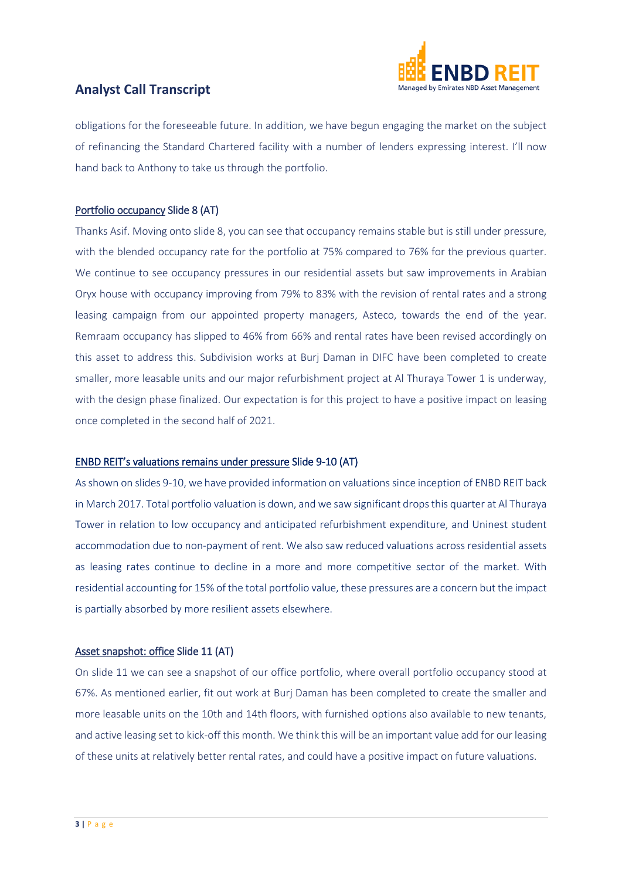

obligations for the foreseeable future. In addition, we have begun engaging the market on the subject of refinancing the Standard Chartered facility with a number of lenders expressing interest. I'll now hand back to Anthony to take us through the portfolio.

#### Portfolio occupancy Slide 8 (AT)

Thanks Asif. Moving onto slide 8, you can see that occupancy remains stable but is still under pressure, with the blended occupancy rate for the portfolio at 75% compared to 76% for the previous quarter. We continue to see occupancy pressures in our residential assets but saw improvements in Arabian Oryx house with occupancy improving from 79% to 83% with the revision of rental rates and a strong leasing campaign from our appointed property managers, Asteco, towards the end of the year. Remraam occupancy has slipped to 46% from 66% and rental rates have been revised accordingly on this asset to address this. Subdivision works at Burj Daman in DIFC have been completed to create smaller, more leasable units and our major refurbishment project at Al Thuraya Tower 1 is underway, with the design phase finalized. Our expectation is for this project to have a positive impact on leasing once completed in the second half of 2021.

#### ENBD REIT's valuations remains under pressure Slide 9-10 (AT)

As shown on slides 9-10, we have provided information on valuations since inception of ENBD REIT back in March 2017. Total portfolio valuation is down, and we saw significant drops this quarter at Al Thuraya Tower in relation to low occupancy and anticipated refurbishment expenditure, and Uninest student accommodation due to non-payment of rent. We also saw reduced valuations across residential assets as leasing rates continue to decline in a more and more competitive sector of the market. With residential accounting for 15% of the total portfolio value, these pressures are a concern but the impact is partially absorbed by more resilient assets elsewhere.

### Asset snapshot: office Slide 11 (AT)

On slide 11 we can see a snapshot of our office portfolio, where overall portfolio occupancy stood at 67%. As mentioned earlier, fit out work at Burj Daman has been completed to create the smaller and more leasable units on the 10th and 14th floors, with furnished options also available to new tenants, and active leasing set to kick-off this month. We think this will be an important value add for our leasing of these units at relatively better rental rates, and could have a positive impact on future valuations.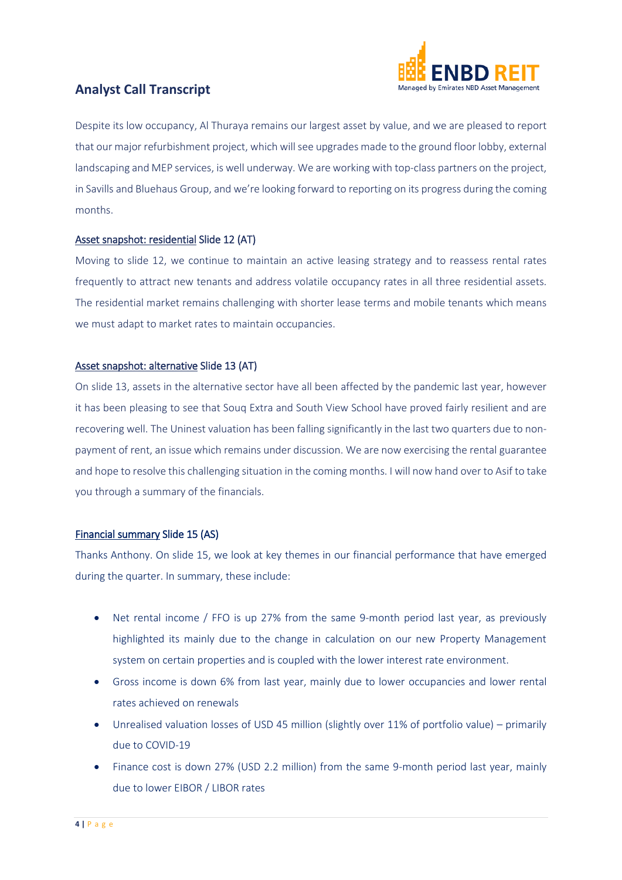

Despite its low occupancy, Al Thuraya remains our largest asset by value, and we are pleased to report that our major refurbishment project, which will see upgrades made to the ground floor lobby, external landscaping and MEP services, is well underway. We are working with top-class partners on the project, in Savills and Bluehaus Group, and we're looking forward to reporting on its progress during the coming months.

#### Asset snapshot: residential Slide 12 (AT)

Moving to slide 12, we continue to maintain an active leasing strategy and to reassess rental rates frequently to attract new tenants and address volatile occupancy rates in all three residential assets. The residential market remains challenging with shorter lease terms and mobile tenants which means we must adapt to market rates to maintain occupancies.

#### Asset snapshot: alternative Slide 13 (AT)

On slide 13, assets in the alternative sector have all been affected by the pandemic last year, however it has been pleasing to see that Souq Extra and South View School have proved fairly resilient and are recovering well. The Uninest valuation has been falling significantly in the last two quarters due to nonpayment of rent, an issue which remains under discussion. We are now exercising the rental guarantee and hope to resolve this challenging situation in the coming months. I will now hand over to Asif to take you through a summary of the financials.

#### Financial summary Slide 15 (AS)

Thanks Anthony. On slide 15, we look at key themes in our financial performance that have emerged during the quarter. In summary, these include:

- Net rental income / FFO is up 27% from the same 9-month period last year, as previously highlighted its mainly due to the change in calculation on our new Property Management system on certain properties and is coupled with the lower interest rate environment.
- Gross income is down 6% from last year, mainly due to lower occupancies and lower rental rates achieved on renewals
- Unrealised valuation losses of USD 45 million (slightly over 11% of portfolio value) primarily due to COVID-19
- Finance cost is down 27% (USD 2.2 million) from the same 9-month period last year, mainly due to lower EIBOR / LIBOR rates